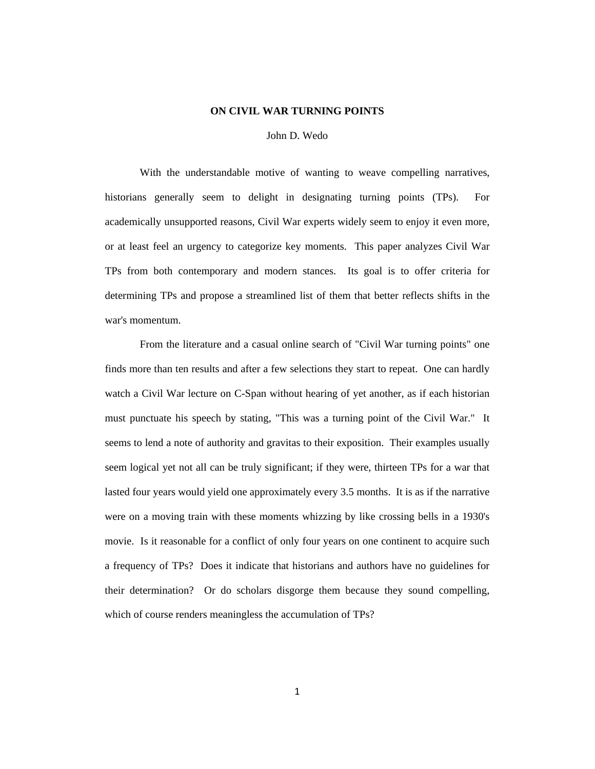## **ON CIVIL WAR TURNING POINTS**

#### John D. Wedo

With the understandable motive of wanting to weave compelling narratives, historians generally seem to delight in designating turning points (TPs). For academically unsupported reasons, Civil War experts widely seem to enjoy it even more, or at least feel an urgency to categorize key moments. This paper analyzes Civil War TPs from both contemporary and modern stances. Its goal is to offer criteria for determining TPs and propose a streamlined list of them that better reflects shifts in the war's momentum.

From the literature and a casual online search of "Civil War turning points" one finds more than ten results and after a few selections they start to repeat. One can hardly watch a Civil War lecture on C-Span without hearing of yet another, as if each historian must punctuate his speech by stating, "This was a turning point of the Civil War." It seems to lend a note of authority and gravitas to their exposition. Their examples usually seem logical yet not all can be truly significant; if they were, thirteen TPs for a war that lasted four years would yield one approximately every 3.5 months. It is as if the narrative were on a moving train with these moments whizzing by like crossing bells in a 1930's movie. Is it reasonable for a conflict of only four years on one continent to acquire such a frequency of TPs? Does it indicate that historians and authors have no guidelines for their determination? Or do scholars disgorge them because they sound compelling, which of course renders meaningless the accumulation of TPs?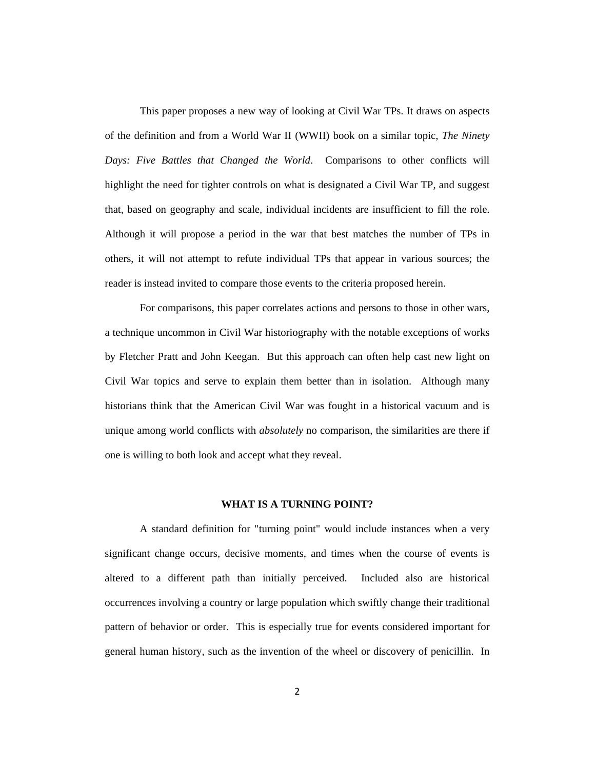This paper proposes a new way of looking at Civil War TPs. It draws on aspects of the definition and from a World War II (WWII) book on a similar topic, *The Ninety Days: Five Battles that Changed the World*. Comparisons to other conflicts will highlight the need for tighter controls on what is designated a Civil War TP, and suggest that, based on geography and scale, individual incidents are insufficient to fill the role. Although it will propose a period in the war that best matches the number of TPs in others, it will not attempt to refute individual TPs that appear in various sources; the reader is instead invited to compare those events to the criteria proposed herein.

For comparisons, this paper correlates actions and persons to those in other wars, a technique uncommon in Civil War historiography with the notable exceptions of works by Fletcher Pratt and John Keegan. But this approach can often help cast new light on Civil War topics and serve to explain them better than in isolation. Although many historians think that the American Civil War was fought in a historical vacuum and is unique among world conflicts with *absolutely* no comparison, the similarities are there if one is willing to both look and accept what they reveal.

#### **WHAT IS A TURNING POINT?**

A standard definition for "turning point" would include instances when a very significant change occurs, decisive moments, and times when the course of events is altered to a different path than initially perceived. Included also are historical occurrences involving a country or large population which swiftly change their traditional pattern of behavior or order. This is especially true for events considered important for general human history, such as the invention of the wheel or discovery of penicillin. In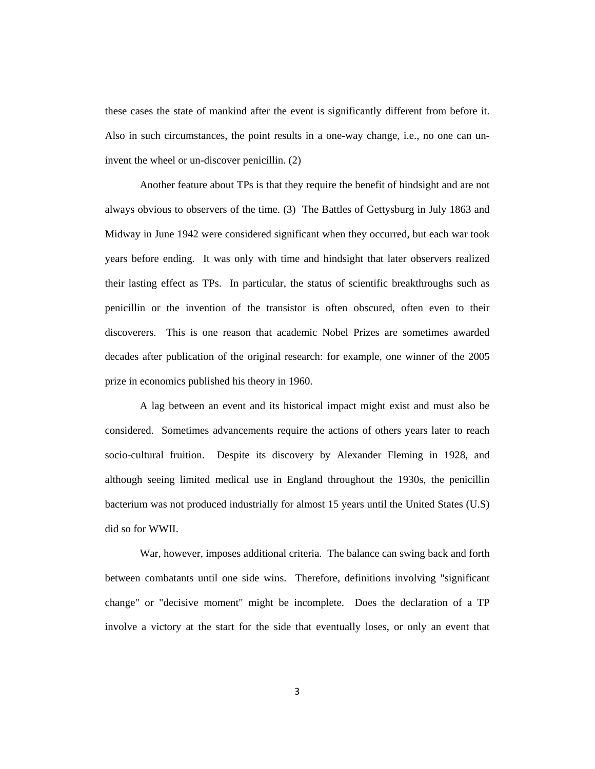these cases the state of mankind after the event is significantly different from before it. Also in such circumstances, the point results in a one-way change, i.e., no one can uninvent the wheel or un-discover penicillin. (2)

Another feature about TPs is that they require the benefit of hindsight and are not always obvious to observers of the time. (3) The Battles of Gettysburg in July 1863 and Midway in June 1942 were considered significant when they occurred, but each war took years before ending. It was only with time and hindsight that later observers realized their lasting effect as TPs. In particular, the status of scientific breakthroughs such as penicillin or the invention of the transistor is often obscured, often even to their discoverers. This is one reason that academic Nobel Prizes are sometimes awarded decades after publication of the original research: for example, one winner of the 2005 prize in economics published his theory in 1960.

A lag between an event and its historical impact might exist and must also be considered. Sometimes advancements require the actions of others years later to reach socio-cultural fruition. Despite its discovery by Alexander Fleming in 1928, and although seeing limited medical use in England throughout the 1930s, the penicillin bacterium was not produced industrially for almost 15 years until the United States (U.S) did so for WWII.

War, however, imposes additional criteria. The balance can swing back and forth between combatants until one side wins. Therefore, definitions involving "significant change" or "decisive moment" might be incomplete. Does the declaration of a TP involve a victory at the start for the side that eventually loses, or only an event that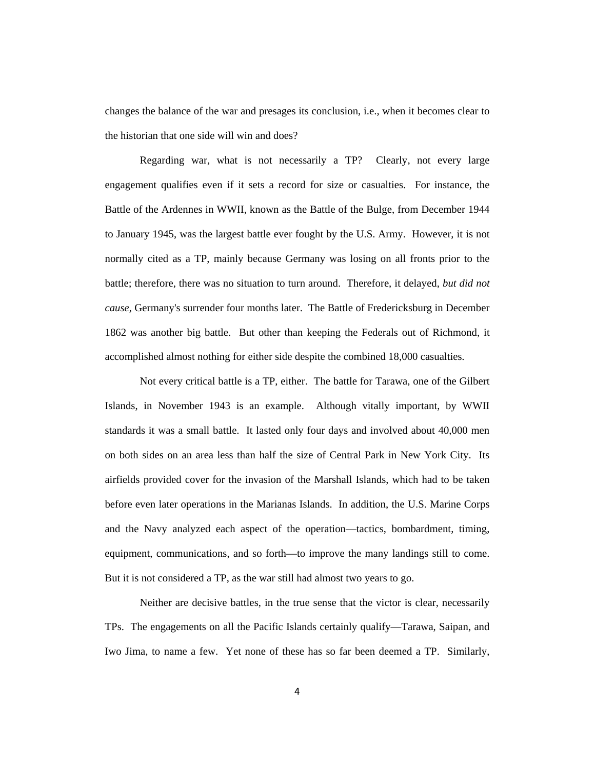changes the balance of the war and presages its conclusion, i.e., when it becomes clear to the historian that one side will win and does?

Regarding war, what is not necessarily a TP? Clearly, not every large engagement qualifies even if it sets a record for size or casualties. For instance, the Battle of the Ardennes in WWII, known as the Battle of the Bulge, from December 1944 to January 1945, was the largest battle ever fought by the U.S. Army. However, it is not normally cited as a TP, mainly because Germany was losing on all fronts prior to the battle; therefore, there was no situation to turn around. Therefore, it delayed, *but did not cause*, Germany's surrender four months later. The Battle of Fredericksburg in December 1862 was another big battle. But other than keeping the Federals out of Richmond, it accomplished almost nothing for either side despite the combined 18,000 casualties.

Not every critical battle is a TP, either. The battle for Tarawa, one of the Gilbert Islands, in November 1943 is an example. Although vitally important, by WWII standards it was a small battle. It lasted only four days and involved about 40,000 men on both sides on an area less than half the size of Central Park in New York City. Its airfields provided cover for the invasion of the Marshall Islands, which had to be taken before even later operations in the Marianas Islands. In addition, the U.S. Marine Corps and the Navy analyzed each aspect of the operation—tactics, bombardment, timing, equipment, communications, and so forth—to improve the many landings still to come. But it is not considered a TP, as the war still had almost two years to go.

Neither are decisive battles, in the true sense that the victor is clear, necessarily TPs. The engagements on all the Pacific Islands certainly qualify—Tarawa, Saipan, and Iwo Jima, to name a few. Yet none of these has so far been deemed a TP. Similarly,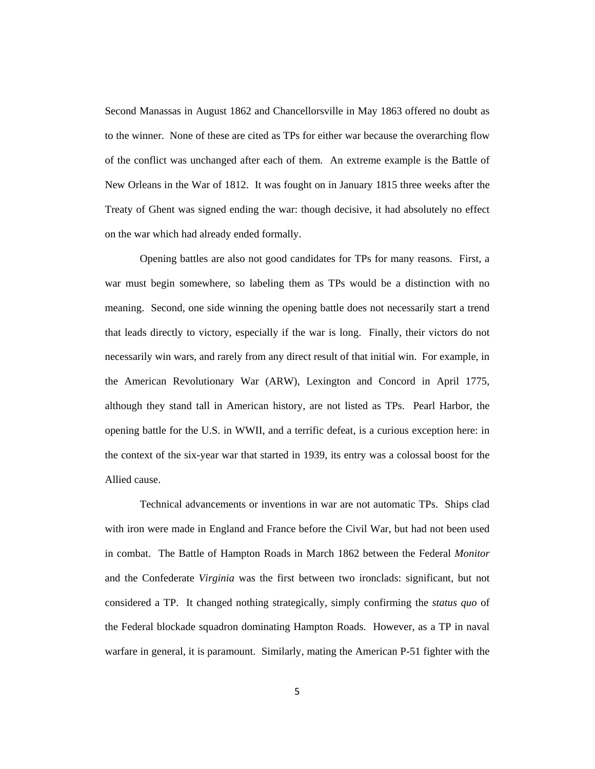Second Manassas in August 1862 and Chancellorsville in May 1863 offered no doubt as to the winner. None of these are cited as TPs for either war because the overarching flow of the conflict was unchanged after each of them. An extreme example is the Battle of New Orleans in the War of 1812. It was fought on in January 1815 three weeks after the Treaty of Ghent was signed ending the war: though decisive, it had absolutely no effect on the war which had already ended formally.

Opening battles are also not good candidates for TPs for many reasons. First, a war must begin somewhere, so labeling them as TPs would be a distinction with no meaning. Second, one side winning the opening battle does not necessarily start a trend that leads directly to victory, especially if the war is long. Finally, their victors do not necessarily win wars, and rarely from any direct result of that initial win. For example, in the American Revolutionary War (ARW), Lexington and Concord in April 1775, although they stand tall in American history, are not listed as TPs. Pearl Harbor, the opening battle for the U.S. in WWII, and a terrific defeat, is a curious exception here: in the context of the six-year war that started in 1939, its entry was a colossal boost for the Allied cause.

Technical advancements or inventions in war are not automatic TPs. Ships clad with iron were made in England and France before the Civil War, but had not been used in combat. The Battle of Hampton Roads in March 1862 between the Federal *Monitor* and the Confederate *Virginia* was the first between two ironclads: significant, but not considered a TP. It changed nothing strategically, simply confirming the *status quo* of the Federal blockade squadron dominating Hampton Roads. However, as a TP in naval warfare in general, it is paramount. Similarly, mating the American P-51 fighter with the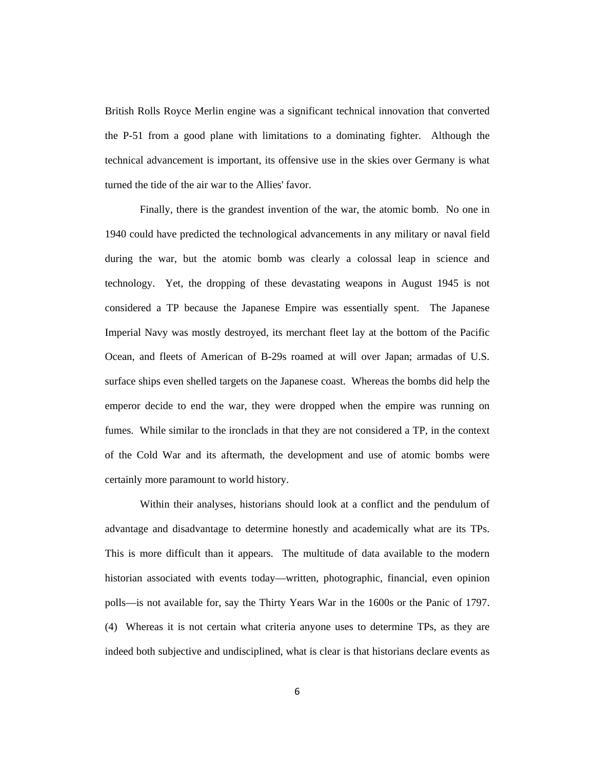British Rolls Royce Merlin engine was a significant technical innovation that converted the P-51 from a good plane with limitations to a dominating fighter. Although the technical advancement is important, its offensive use in the skies over Germany is what turned the tide of the air war to the Allies' favor.

Finally, there is the grandest invention of the war, the atomic bomb. No one in 1940 could have predicted the technological advancements in any military or naval field during the war, but the atomic bomb was clearly a colossal leap in science and technology. Yet, the dropping of these devastating weapons in August 1945 is not considered a TP because the Japanese Empire was essentially spent. The Japanese Imperial Navy was mostly destroyed, its merchant fleet lay at the bottom of the Pacific Ocean, and fleets of American of B-29s roamed at will over Japan; armadas of U.S. surface ships even shelled targets on the Japanese coast. Whereas the bombs did help the emperor decide to end the war, they were dropped when the empire was running on fumes. While similar to the ironclads in that they are not considered a TP, in the context of the Cold War and its aftermath, the development and use of atomic bombs were certainly more paramount to world history.

Within their analyses, historians should look at a conflict and the pendulum of advantage and disadvantage to determine honestly and academically what are its TPs. This is more difficult than it appears. The multitude of data available to the modern historian associated with events today—written, photographic, financial, even opinion polls—is not available for, say the Thirty Years War in the 1600s or the Panic of 1797. (4) Whereas it is not certain what criteria anyone uses to determine TPs, as they are indeed both subjective and undisciplined, what is clear is that historians declare events as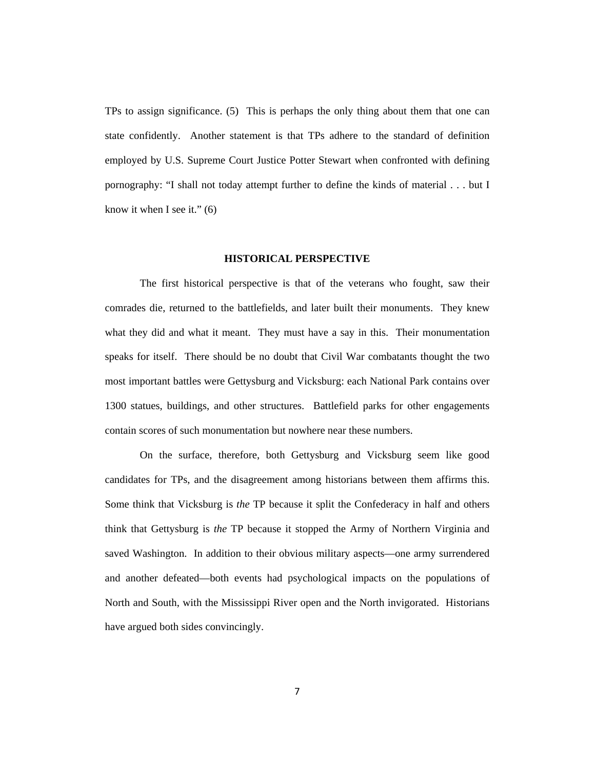TPs to assign significance. (5) This is perhaps the only thing about them that one can state confidently. Another statement is that TPs adhere to the standard of definition employed by U.S. Supreme Court Justice Potter Stewart when confronted with defining pornography: "I shall not today attempt further to define the kinds of material . . . but I know it when I see it."  $(6)$ 

### **HISTORICAL PERSPECTIVE**

The first historical perspective is that of the veterans who fought, saw their comrades die, returned to the battlefields, and later built their monuments. They knew what they did and what it meant. They must have a say in this. Their monumentation speaks for itself. There should be no doubt that Civil War combatants thought the two most important battles were Gettysburg and Vicksburg: each National Park contains over 1300 statues, buildings, and other structures. Battlefield parks for other engagements contain scores of such monumentation but nowhere near these numbers.

On the surface, therefore, both Gettysburg and Vicksburg seem like good candidates for TPs, and the disagreement among historians between them affirms this. Some think that Vicksburg is *the* TP because it split the Confederacy in half and others think that Gettysburg is *the* TP because it stopped the Army of Northern Virginia and saved Washington. In addition to their obvious military aspects—one army surrendered and another defeated—both events had psychological impacts on the populations of North and South, with the Mississippi River open and the North invigorated. Historians have argued both sides convincingly.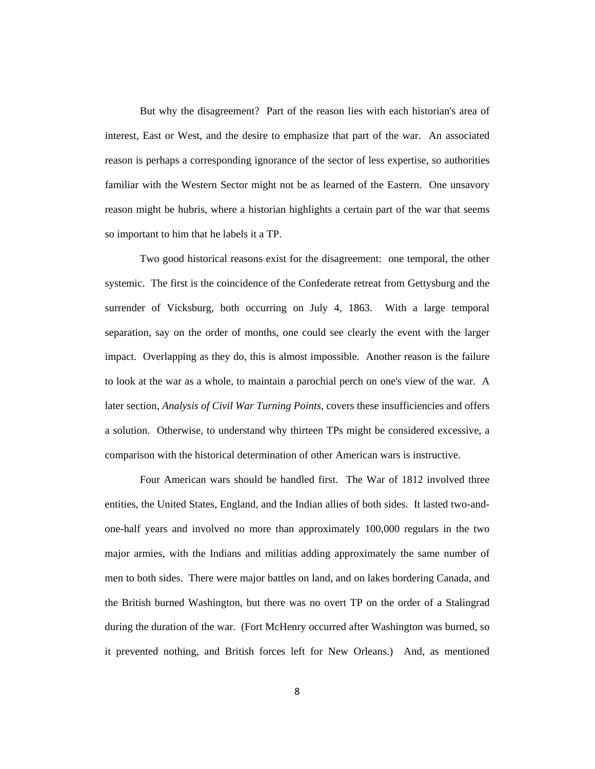But why the disagreement? Part of the reason lies with each historian's area of interest, East or West, and the desire to emphasize that part of the war. An associated reason is perhaps a corresponding ignorance of the sector of less expertise, so authorities familiar with the Western Sector might not be as learned of the Eastern. One unsavory reason might be hubris, where a historian highlights a certain part of the war that seems so important to him that he labels it a TP.

Two good historical reasons exist for the disagreement: one temporal, the other systemic. The first is the coincidence of the Confederate retreat from Gettysburg and the surrender of Vicksburg, both occurring on July 4, 1863. With a large temporal separation, say on the order of months, one could see clearly the event with the larger impact. Overlapping as they do, this is almost impossible. Another reason is the failure to look at the war as a whole, to maintain a parochial perch on one's view of the war. A later section, *Analysis of Civil War Turning Points*, covers these insufficiencies and offers a solution. Otherwise, to understand why thirteen TPs might be considered excessive, a comparison with the historical determination of other American wars is instructive.

Four American wars should be handled first. The War of 1812 involved three entities, the United States, England, and the Indian allies of both sides. It lasted two-andone-half years and involved no more than approximately 100,000 regulars in the two major armies, with the Indians and militias adding approximately the same number of men to both sides. There were major battles on land, and on lakes bordering Canada, and the British burned Washington, but there was no overt TP on the order of a Stalingrad during the duration of the war. (Fort McHenry occurred after Washington was burned, so it prevented nothing, and British forces left for New Orleans.) And, as mentioned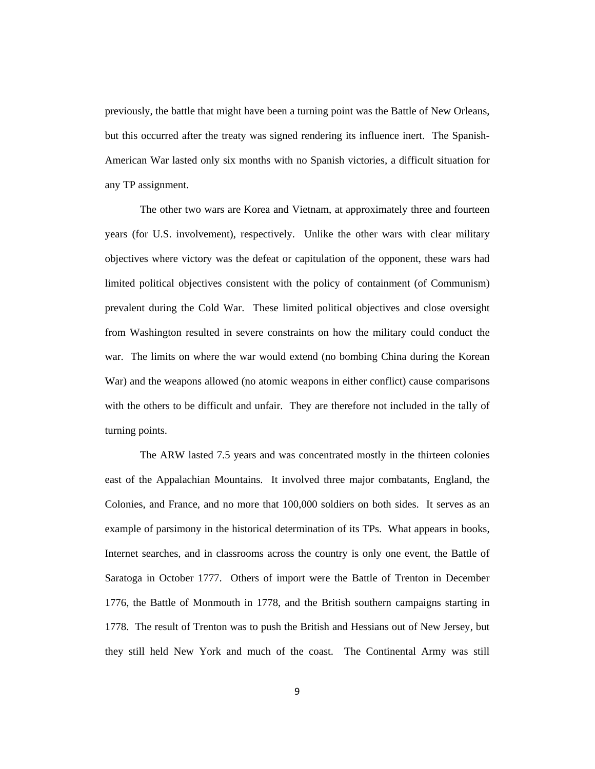previously, the battle that might have been a turning point was the Battle of New Orleans, but this occurred after the treaty was signed rendering its influence inert. The Spanish-American War lasted only six months with no Spanish victories, a difficult situation for any TP assignment.

The other two wars are Korea and Vietnam, at approximately three and fourteen years (for U.S. involvement), respectively. Unlike the other wars with clear military objectives where victory was the defeat or capitulation of the opponent, these wars had limited political objectives consistent with the policy of containment (of Communism) prevalent during the Cold War. These limited political objectives and close oversight from Washington resulted in severe constraints on how the military could conduct the war. The limits on where the war would extend (no bombing China during the Korean War) and the weapons allowed (no atomic weapons in either conflict) cause comparisons with the others to be difficult and unfair. They are therefore not included in the tally of turning points.

The ARW lasted 7.5 years and was concentrated mostly in the thirteen colonies east of the Appalachian Mountains. It involved three major combatants, England, the Colonies, and France, and no more that 100,000 soldiers on both sides. It serves as an example of parsimony in the historical determination of its TPs. What appears in books, Internet searches, and in classrooms across the country is only one event, the Battle of Saratoga in October 1777. Others of import were the Battle of Trenton in December 1776, the Battle of Monmouth in 1778, and the British southern campaigns starting in 1778. The result of Trenton was to push the British and Hessians out of New Jersey, but they still held New York and much of the coast. The Continental Army was still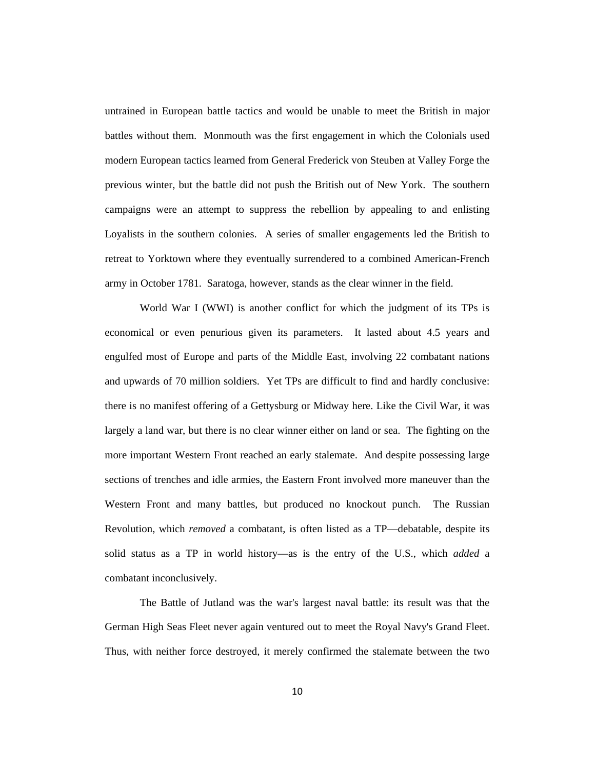untrained in European battle tactics and would be unable to meet the British in major battles without them. Monmouth was the first engagement in which the Colonials used modern European tactics learned from General Frederick von Steuben at Valley Forge the previous winter, but the battle did not push the British out of New York. The southern campaigns were an attempt to suppress the rebellion by appealing to and enlisting Loyalists in the southern colonies. A series of smaller engagements led the British to retreat to Yorktown where they eventually surrendered to a combined American-French army in October 1781. Saratoga, however, stands as the clear winner in the field.

World War I (WWI) is another conflict for which the judgment of its TPs is economical or even penurious given its parameters. It lasted about 4.5 years and engulfed most of Europe and parts of the Middle East, involving 22 combatant nations and upwards of 70 million soldiers. Yet TPs are difficult to find and hardly conclusive: there is no manifest offering of a Gettysburg or Midway here. Like the Civil War, it was largely a land war, but there is no clear winner either on land or sea. The fighting on the more important Western Front reached an early stalemate. And despite possessing large sections of trenches and idle armies, the Eastern Front involved more maneuver than the Western Front and many battles, but produced no knockout punch. The Russian Revolution, which *removed* a combatant, is often listed as a TP—debatable, despite its solid status as a TP in world history—as is the entry of the U.S., which *added* a combatant inconclusively.

The Battle of Jutland was the war's largest naval battle: its result was that the German High Seas Fleet never again ventured out to meet the Royal Navy's Grand Fleet. Thus, with neither force destroyed, it merely confirmed the stalemate between the two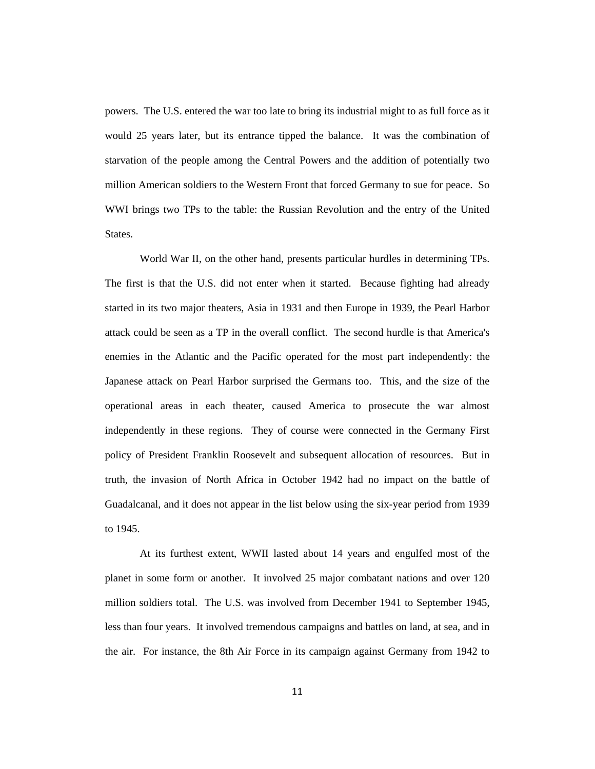powers. The U.S. entered the war too late to bring its industrial might to as full force as it would 25 years later, but its entrance tipped the balance. It was the combination of starvation of the people among the Central Powers and the addition of potentially two million American soldiers to the Western Front that forced Germany to sue for peace. So WWI brings two TPs to the table: the Russian Revolution and the entry of the United States.

World War II, on the other hand, presents particular hurdles in determining TPs. The first is that the U.S. did not enter when it started. Because fighting had already started in its two major theaters, Asia in 1931 and then Europe in 1939, the Pearl Harbor attack could be seen as a TP in the overall conflict. The second hurdle is that America's enemies in the Atlantic and the Pacific operated for the most part independently: the Japanese attack on Pearl Harbor surprised the Germans too. This, and the size of the operational areas in each theater, caused America to prosecute the war almost independently in these regions. They of course were connected in the Germany First policy of President Franklin Roosevelt and subsequent allocation of resources. But in truth, the invasion of North Africa in October 1942 had no impact on the battle of Guadalcanal, and it does not appear in the list below using the six-year period from 1939 to 1945.

At its furthest extent, WWII lasted about 14 years and engulfed most of the planet in some form or another. It involved 25 major combatant nations and over 120 million soldiers total. The U.S. was involved from December 1941 to September 1945, less than four years. It involved tremendous campaigns and battles on land, at sea, and in the air. For instance, the 8th Air Force in its campaign against Germany from 1942 to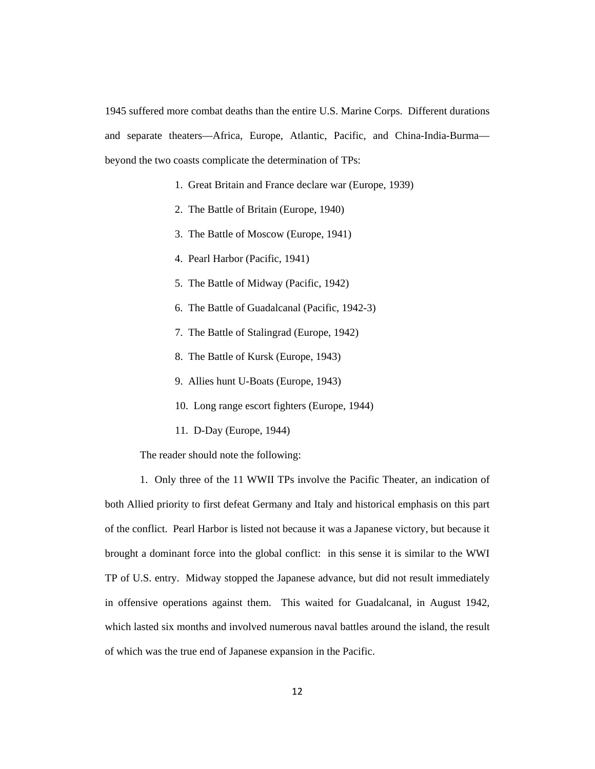1945 suffered more combat deaths than the entire U.S. Marine Corps. Different durations and separate theaters—Africa, Europe, Atlantic, Pacific, and China-India-Burma beyond the two coasts complicate the determination of TPs:

- 1. Great Britain and France declare war (Europe, 1939)
- 2. The Battle of Britain (Europe, 1940)
- 3. The Battle of Moscow (Europe, 1941)
- 4. Pearl Harbor (Pacific, 1941)
- 5. The Battle of Midway (Pacific, 1942)
- 6. The Battle of Guadalcanal (Pacific, 1942-3)
- 7. The Battle of Stalingrad (Europe, 1942)
- 8. The Battle of Kursk (Europe, 1943)
- 9. Allies hunt U-Boats (Europe, 1943)
- 10. Long range escort fighters (Europe, 1944)
- 11. D-Day (Europe, 1944)

The reader should note the following:

1. Only three of the 11 WWII TPs involve the Pacific Theater, an indication of both Allied priority to first defeat Germany and Italy and historical emphasis on this part of the conflict. Pearl Harbor is listed not because it was a Japanese victory, but because it brought a dominant force into the global conflict: in this sense it is similar to the WWI TP of U.S. entry. Midway stopped the Japanese advance, but did not result immediately in offensive operations against them. This waited for Guadalcanal, in August 1942, which lasted six months and involved numerous naval battles around the island, the result of which was the true end of Japanese expansion in the Pacific.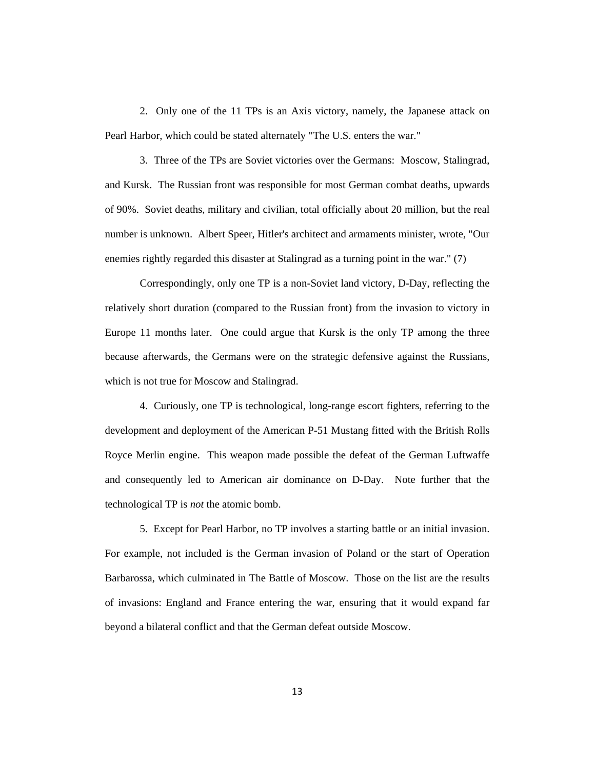2. Only one of the 11 TPs is an Axis victory, namely, the Japanese attack on Pearl Harbor, which could be stated alternately "The U.S. enters the war."

3. Three of the TPs are Soviet victories over the Germans: Moscow, Stalingrad, and Kursk. The Russian front was responsible for most German combat deaths, upwards of 90%. Soviet deaths, military and civilian, total officially about 20 million, but the real number is unknown. Albert Speer, Hitler's architect and armaments minister, wrote, "Our enemies rightly regarded this disaster at Stalingrad as a turning point in the war." (7)

Correspondingly, only one TP is a non-Soviet land victory, D-Day, reflecting the relatively short duration (compared to the Russian front) from the invasion to victory in Europe 11 months later. One could argue that Kursk is the only TP among the three because afterwards, the Germans were on the strategic defensive against the Russians, which is not true for Moscow and Stalingrad.

4. Curiously, one TP is technological, long-range escort fighters, referring to the development and deployment of the American P-51 Mustang fitted with the British Rolls Royce Merlin engine. This weapon made possible the defeat of the German Luftwaffe and consequently led to American air dominance on D-Day. Note further that the technological TP is *not* the atomic bomb.

5. Except for Pearl Harbor, no TP involves a starting battle or an initial invasion. For example, not included is the German invasion of Poland or the start of Operation Barbarossa, which culminated in The Battle of Moscow. Those on the list are the results of invasions: England and France entering the war, ensuring that it would expand far beyond a bilateral conflict and that the German defeat outside Moscow.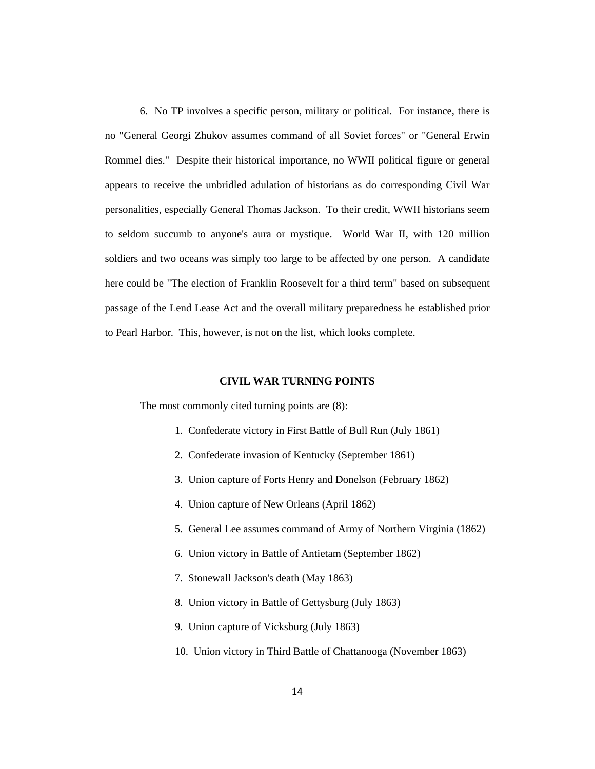6. No TP involves a specific person, military or political. For instance, there is no "General Georgi Zhukov assumes command of all Soviet forces" or "General Erwin Rommel dies." Despite their historical importance, no WWII political figure or general appears to receive the unbridled adulation of historians as do corresponding Civil War personalities, especially General Thomas Jackson. To their credit, WWII historians seem to seldom succumb to anyone's aura or mystique. World War II, with 120 million soldiers and two oceans was simply too large to be affected by one person. A candidate here could be "The election of Franklin Roosevelt for a third term" based on subsequent passage of the Lend Lease Act and the overall military preparedness he established prior to Pearl Harbor. This, however, is not on the list, which looks complete.

#### **CIVIL WAR TURNING POINTS**

The most commonly cited turning points are (8):

- 1. Confederate victory in First Battle of Bull Run (July 1861)
- 2. Confederate invasion of Kentucky (September 1861)
- 3. Union capture of Forts Henry and Donelson (February 1862)
- 4. Union capture of New Orleans (April 1862)
- 5. General Lee assumes command of Army of Northern Virginia (1862)
- 6. Union victory in Battle of Antietam (September 1862)
- 7. Stonewall Jackson's death (May 1863)
- 8. Union victory in Battle of Gettysburg (July 1863)
- 9. Union capture of Vicksburg (July 1863)
- 10. Union victory in Third Battle of Chattanooga (November 1863)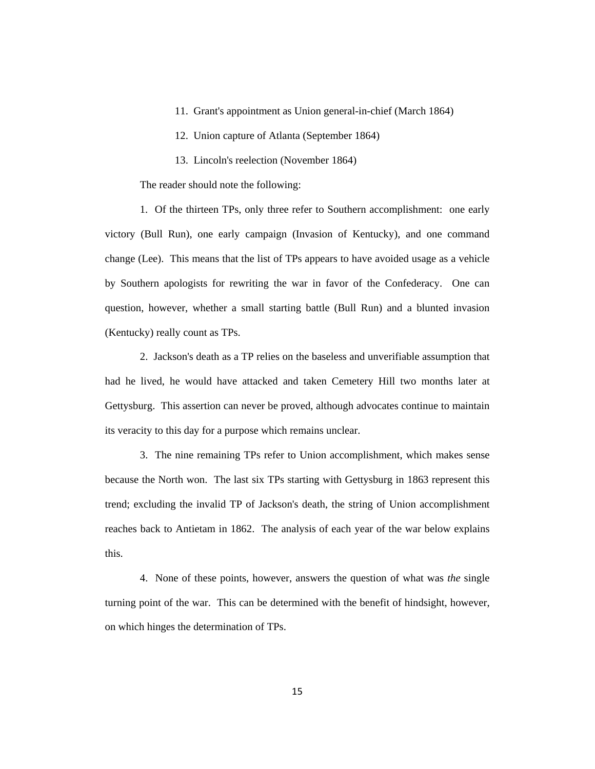- 11. Grant's appointment as Union general-in-chief (March 1864)
- 12. Union capture of Atlanta (September 1864)
- 13. Lincoln's reelection (November 1864)

The reader should note the following:

1. Of the thirteen TPs, only three refer to Southern accomplishment: one early victory (Bull Run), one early campaign (Invasion of Kentucky), and one command change (Lee). This means that the list of TPs appears to have avoided usage as a vehicle by Southern apologists for rewriting the war in favor of the Confederacy. One can question, however, whether a small starting battle (Bull Run) and a blunted invasion (Kentucky) really count as TPs.

2. Jackson's death as a TP relies on the baseless and unverifiable assumption that had he lived, he would have attacked and taken Cemetery Hill two months later at Gettysburg. This assertion can never be proved, although advocates continue to maintain its veracity to this day for a purpose which remains unclear.

3. The nine remaining TPs refer to Union accomplishment, which makes sense because the North won. The last six TPs starting with Gettysburg in 1863 represent this trend; excluding the invalid TP of Jackson's death, the string of Union accomplishment reaches back to Antietam in 1862. The analysis of each year of the war below explains this.

4. None of these points, however, answers the question of what was *the* single turning point of the war. This can be determined with the benefit of hindsight, however, on which hinges the determination of TPs.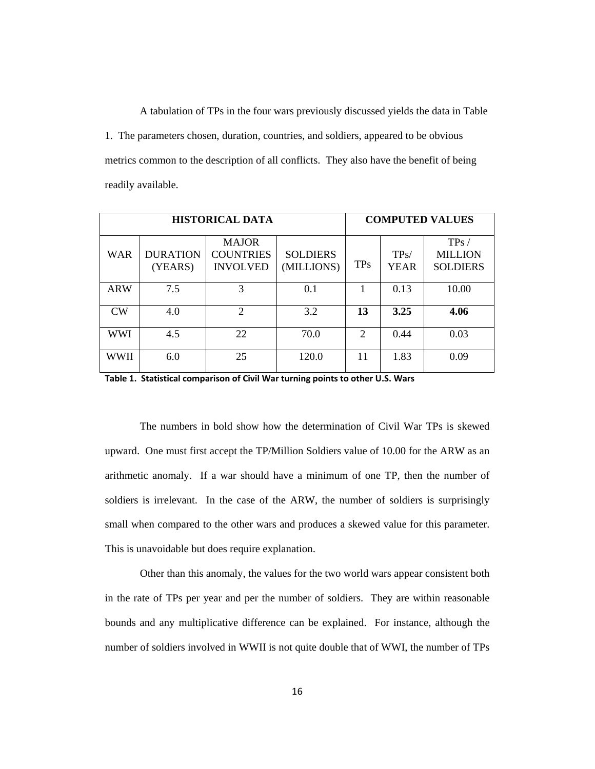A tabulation of TPs in the four wars previously discussed yields the data in Table 1. The parameters chosen, duration, countries, and soldiers, appeared to be obvious metrics common to the description of all conflicts. They also have the benefit of being readily available.

| <b>HISTORICAL DATA</b> |                            |                                                     | <b>COMPUTED VALUES</b>        |            |                     |                                           |
|------------------------|----------------------------|-----------------------------------------------------|-------------------------------|------------|---------------------|-------------------------------------------|
| <b>WAR</b>             | <b>DURATION</b><br>(YEARS) | <b>MAJOR</b><br><b>COUNTRIES</b><br><b>INVOLVED</b> | <b>SOLDIERS</b><br>(MILLIONS) | <b>TPs</b> | TPs/<br><b>YEAR</b> | TPs/<br><b>MILLION</b><br><b>SOLDIERS</b> |
| <b>ARW</b>             | 7.5                        | 3                                                   | 0.1                           | 1          | 0.13                | 10.00                                     |
| CW                     | 4.0                        | $\overline{2}$                                      | 3.2                           | 13         | 3.25                | 4.06                                      |
| WWI                    | 4.5                        | 22                                                  | 70.0                          | 2          | 0.44                | 0.03                                      |
| WWII                   | 6.0                        | 25                                                  | 120.0                         | 11         | 1.83                | 0.09                                      |

**Table 1. Statistical comparison of Civil War turning points to other U.S. Wars**

The numbers in bold show how the determination of Civil War TPs is skewed upward. One must first accept the TP/Million Soldiers value of 10.00 for the ARW as an arithmetic anomaly. If a war should have a minimum of one TP, then the number of soldiers is irrelevant. In the case of the ARW, the number of soldiers is surprisingly small when compared to the other wars and produces a skewed value for this parameter. This is unavoidable but does require explanation.

Other than this anomaly, the values for the two world wars appear consistent both in the rate of TPs per year and per the number of soldiers. They are within reasonable bounds and any multiplicative difference can be explained. For instance, although the number of soldiers involved in WWII is not quite double that of WWI, the number of TPs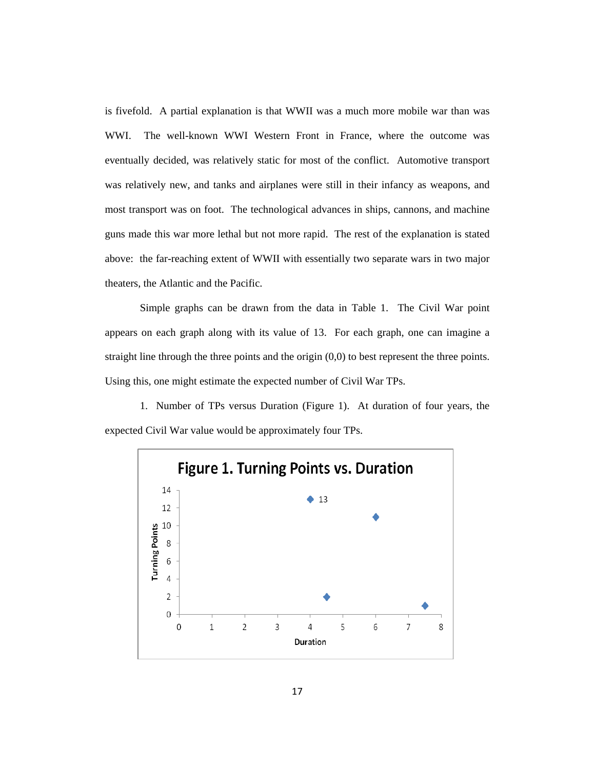is fivefold. A partial explanation is that WWII was a much more mobile war than was WWI. The well-known WWI Western Front in France, where the outcome was eventually decided, was relatively static for most of the conflict. Automotive transport was relatively new, and tanks and airplanes were still in their infancy as weapons, and most transport was on foot. The technological advances in ships, cannons, and machine guns made this war more lethal but not more rapid. The rest of the explanation is stated above: the far-reaching extent of WWII with essentially two separate wars in two major theaters, the Atlantic and the Pacific.

Simple graphs can be drawn from the data in Table 1. The Civil War point appears on each graph along with its value of 13. For each graph, one can imagine a straight line through the three points and the origin  $(0,0)$  to best represent the three points. Using this, one might estimate the expected number of Civil War TPs.

1. Number of TPs versus Duration (Figure 1). At duration of four years, the expected Civil War value would be approximately four TPs.

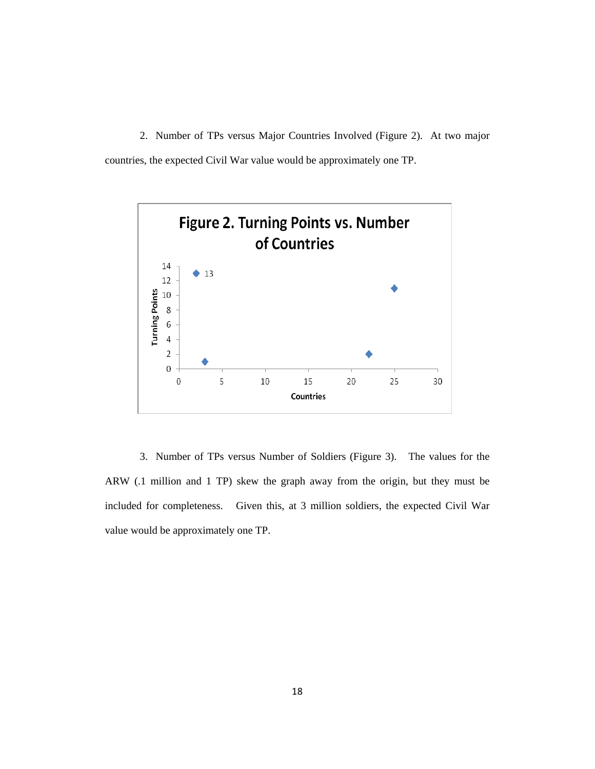2. Number of TPs versus Major Countries Involved (Figure 2). At two major countries, the expected Civil War value would be approximately one TP.



 3. Number of TPs versus Number of Soldiers (Figure 3). The values for the ARW (.1 million and 1 TP) skew the graph away from the origin, but they must be included for completeness. Given this, at 3 million soldiers, the expected Civil War value would be approximately one TP.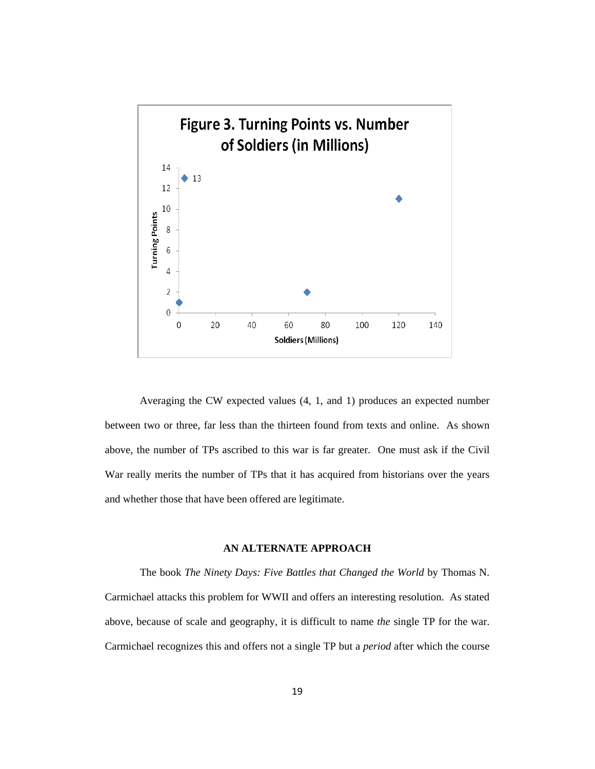

Averaging the CW expected values (4, 1, and 1) produces an expected number between two or three, far less than the thirteen found from texts and online. As shown above, the number of TPs ascribed to this war is far greater. One must ask if the Civil War really merits the number of TPs that it has acquired from historians over the years and whether those that have been offered are legitimate.

### **AN ALTERNATE APPROACH**

The book *The Ninety Days: Five Battles that Changed the World* by Thomas N. Carmichael attacks this problem for WWII and offers an interesting resolution. As stated above, because of scale and geography, it is difficult to name *the* single TP for the war. Carmichael recognizes this and offers not a single TP but a *period* after which the course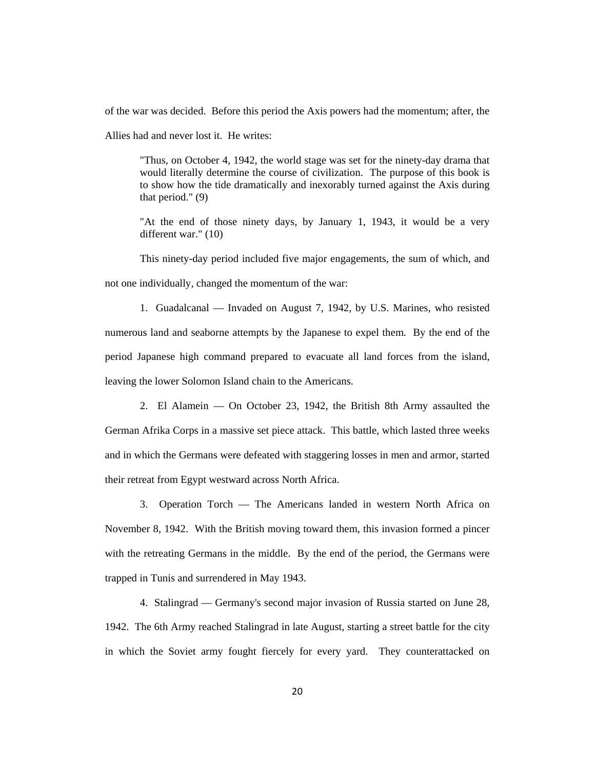of the war was decided. Before this period the Axis powers had the momentum; after, the

Allies had and never lost it. He writes:

"Thus, on October 4, 1942, the world stage was set for the ninety-day drama that would literally determine the course of civilization. The purpose of this book is to show how the tide dramatically and inexorably turned against the Axis during that period." (9)

"At the end of those ninety days, by January 1, 1943, it would be a very different war." (10)

This ninety-day period included five major engagements, the sum of which, and not one individually, changed the momentum of the war:

1. Guadalcanal — Invaded on August 7, 1942, by U.S. Marines, who resisted numerous land and seaborne attempts by the Japanese to expel them. By the end of the period Japanese high command prepared to evacuate all land forces from the island, leaving the lower Solomon Island chain to the Americans.

2. El Alamein — On October 23, 1942, the British 8th Army assaulted the German Afrika Corps in a massive set piece attack. This battle, which lasted three weeks and in which the Germans were defeated with staggering losses in men and armor, started their retreat from Egypt westward across North Africa.

3. Operation Torch — The Americans landed in western North Africa on November 8, 1942. With the British moving toward them, this invasion formed a pincer with the retreating Germans in the middle. By the end of the period, the Germans were trapped in Tunis and surrendered in May 1943.

4. Stalingrad — Germany's second major invasion of Russia started on June 28, 1942. The 6th Army reached Stalingrad in late August, starting a street battle for the city in which the Soviet army fought fiercely for every yard. They counterattacked on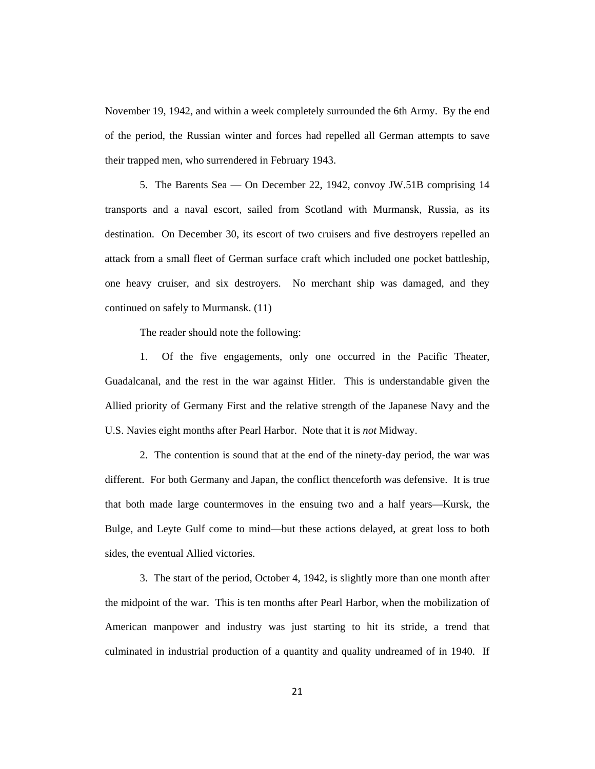November 19, 1942, and within a week completely surrounded the 6th Army. By the end of the period, the Russian winter and forces had repelled all German attempts to save their trapped men, who surrendered in February 1943.

5. The Barents Sea — On December 22, 1942, convoy JW.51B comprising 14 transports and a naval escort, sailed from Scotland with Murmansk, Russia, as its destination. On December 30, its escort of two cruisers and five destroyers repelled an attack from a small fleet of German surface craft which included one pocket battleship, one heavy cruiser, and six destroyers. No merchant ship was damaged, and they continued on safely to Murmansk. (11)

The reader should note the following:

1. Of the five engagements, only one occurred in the Pacific Theater, Guadalcanal, and the rest in the war against Hitler. This is understandable given the Allied priority of Germany First and the relative strength of the Japanese Navy and the U.S. Navies eight months after Pearl Harbor. Note that it is *not* Midway.

2. The contention is sound that at the end of the ninety-day period, the war was different. For both Germany and Japan, the conflict thenceforth was defensive. It is true that both made large countermoves in the ensuing two and a half years—Kursk, the Bulge, and Leyte Gulf come to mind—but these actions delayed, at great loss to both sides, the eventual Allied victories.

3. The start of the period, October 4, 1942, is slightly more than one month after the midpoint of the war. This is ten months after Pearl Harbor, when the mobilization of American manpower and industry was just starting to hit its stride, a trend that culminated in industrial production of a quantity and quality undreamed of in 1940. If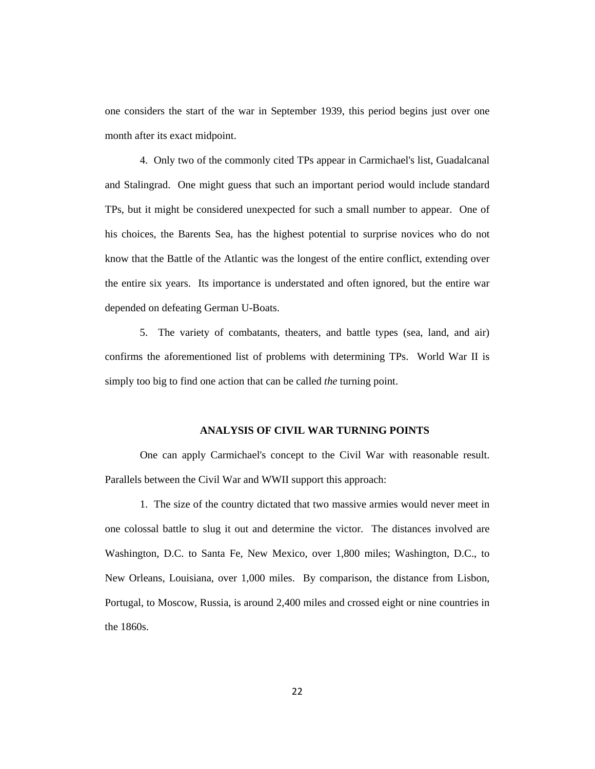one considers the start of the war in September 1939, this period begins just over one month after its exact midpoint.

4. Only two of the commonly cited TPs appear in Carmichael's list, Guadalcanal and Stalingrad. One might guess that such an important period would include standard TPs, but it might be considered unexpected for such a small number to appear. One of his choices, the Barents Sea, has the highest potential to surprise novices who do not know that the Battle of the Atlantic was the longest of the entire conflict, extending over the entire six years. Its importance is understated and often ignored, but the entire war depended on defeating German U-Boats.

5. The variety of combatants, theaters, and battle types (sea, land, and air) confirms the aforementioned list of problems with determining TPs. World War II is simply too big to find one action that can be called *the* turning point.

## **ANALYSIS OF CIVIL WAR TURNING POINTS**

One can apply Carmichael's concept to the Civil War with reasonable result. Parallels between the Civil War and WWII support this approach:

1. The size of the country dictated that two massive armies would never meet in one colossal battle to slug it out and determine the victor. The distances involved are Washington, D.C. to Santa Fe, New Mexico, over 1,800 miles; Washington, D.C., to New Orleans, Louisiana, over 1,000 miles. By comparison, the distance from Lisbon, Portugal, to Moscow, Russia, is around 2,400 miles and crossed eight or nine countries in the 1860s.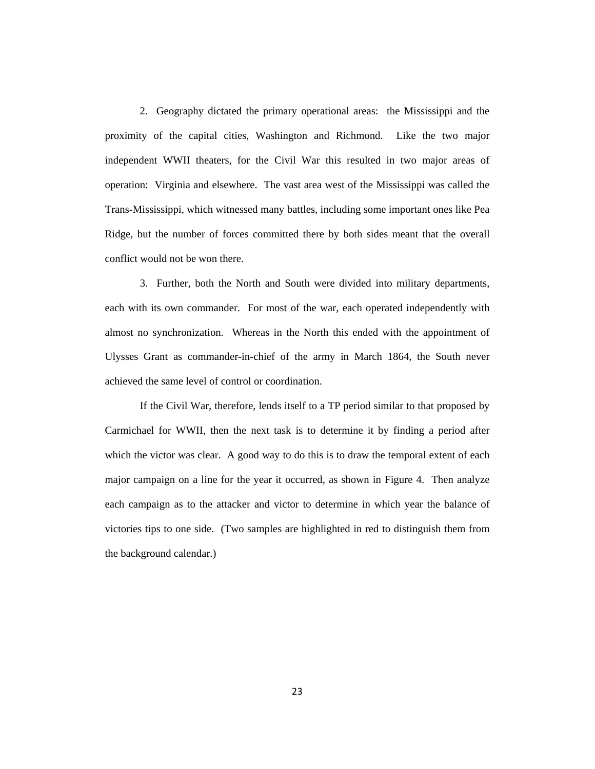2. Geography dictated the primary operational areas: the Mississippi and the proximity of the capital cities, Washington and Richmond. Like the two major independent WWII theaters, for the Civil War this resulted in two major areas of operation: Virginia and elsewhere. The vast area west of the Mississippi was called the Trans-Mississippi, which witnessed many battles, including some important ones like Pea Ridge, but the number of forces committed there by both sides meant that the overall conflict would not be won there.

3. Further, both the North and South were divided into military departments, each with its own commander. For most of the war, each operated independently with almost no synchronization. Whereas in the North this ended with the appointment of Ulysses Grant as commander-in-chief of the army in March 1864, the South never achieved the same level of control or coordination.

If the Civil War, therefore, lends itself to a TP period similar to that proposed by Carmichael for WWII, then the next task is to determine it by finding a period after which the victor was clear. A good way to do this is to draw the temporal extent of each major campaign on a line for the year it occurred, as shown in Figure 4. Then analyze each campaign as to the attacker and victor to determine in which year the balance of victories tips to one side. (Two samples are highlighted in red to distinguish them from the background calendar.)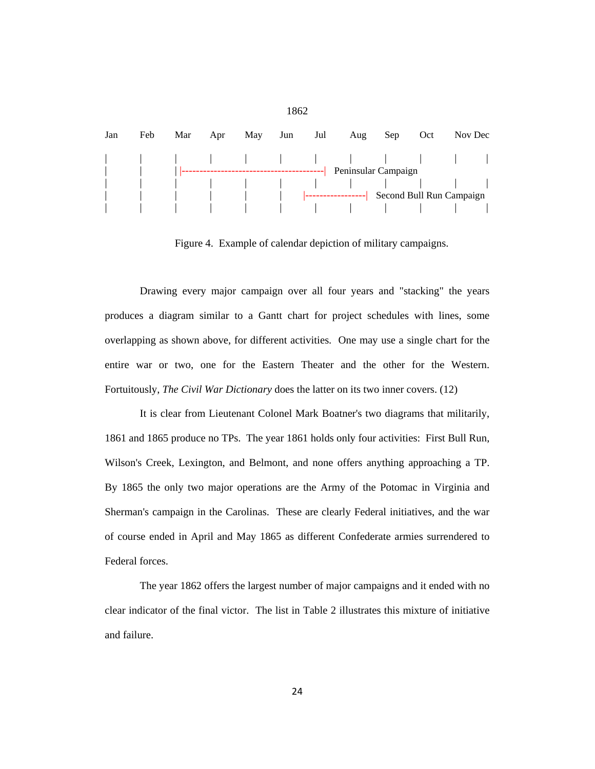

Figure 4. Example of calendar depiction of military campaigns.

Drawing every major campaign over all four years and "stacking" the years produces a diagram similar to a Gantt chart for project schedules with lines, some overlapping as shown above, for different activities. One may use a single chart for the entire war or two, one for the Eastern Theater and the other for the Western. Fortuitously, *The Civil War Dictionary* does the latter on its two inner covers. (12)

It is clear from Lieutenant Colonel Mark Boatner's two diagrams that militarily, 1861 and 1865 produce no TPs. The year 1861 holds only four activities: First Bull Run, Wilson's Creek, Lexington, and Belmont, and none offers anything approaching a TP. By 1865 the only two major operations are the Army of the Potomac in Virginia and Sherman's campaign in the Carolinas. These are clearly Federal initiatives, and the war of course ended in April and May 1865 as different Confederate armies surrendered to Federal forces.

The year 1862 offers the largest number of major campaigns and it ended with no clear indicator of the final victor. The list in Table 2 illustrates this mixture of initiative and failure.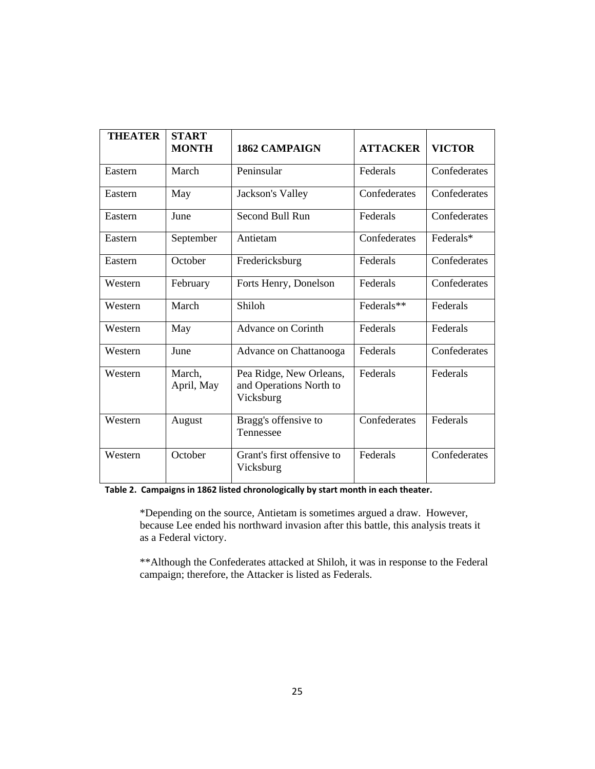| <b>THEATER</b> | <b>START</b><br><b>MONTH</b> | <b>1862 CAMPAIGN</b>                                            | <b>ATTACKER</b> | <b>VICTOR</b> |
|----------------|------------------------------|-----------------------------------------------------------------|-----------------|---------------|
| Eastern        | March                        | Peninsular                                                      | Federals        | Confederates  |
| Eastern        | May                          | Jackson's Valley                                                | Confederates    | Confederates  |
| Eastern        | June                         | Second Bull Run                                                 | Federals        | Confederates  |
| Eastern        | September                    | Antietam                                                        | Confederates    | Federals*     |
| Eastern        | October                      | Fredericksburg                                                  | Federals        | Confederates  |
| Western        | February                     | Forts Henry, Donelson                                           | Federals        | Confederates  |
| Western        | March                        | Shiloh                                                          | Federals**      | Federals      |
| Western        | May                          | <b>Advance on Corinth</b>                                       | Federals        | Federals      |
| Western        | June                         | Advance on Chattanooga                                          | Federals        | Confederates  |
| Western        | March,<br>April, May         | Pea Ridge, New Orleans,<br>and Operations North to<br>Vicksburg | Federals        | Federals      |
| Western        | August                       | Bragg's offensive to<br>Tennessee                               | Confederates    | Federals      |
| Western        | October                      | Grant's first offensive to<br>Vicksburg                         | Federals        | Confederates  |

# **Table 2. Campaigns in 1862 listed chronologically by start month in each theater.**

\*Depending on the source, Antietam is sometimes argued a draw. However, because Lee ended his northward invasion after this battle, this analysis treats it as a Federal victory.

\*\*Although the Confederates attacked at Shiloh, it was in response to the Federal campaign; therefore, the Attacker is listed as Federals.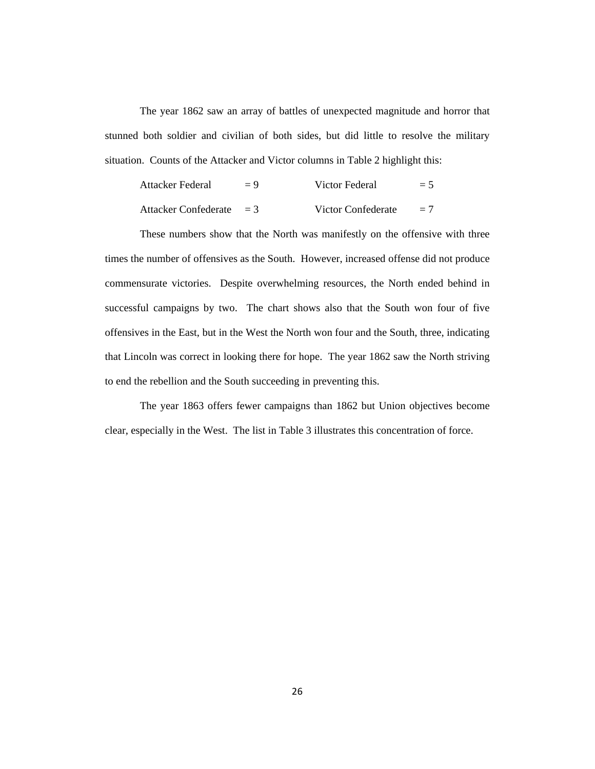The year 1862 saw an array of battles of unexpected magnitude and horror that stunned both soldier and civilian of both sides, but did little to resolve the military situation. Counts of the Attacker and Victor columns in Table 2 highlight this:

| Attacker Federal     | $= 9$ | Victor Federal     | $= 5$ |
|----------------------|-------|--------------------|-------|
| Attacker Confederate | $=$ 3 | Victor Confederate | $= 7$ |

These numbers show that the North was manifestly on the offensive with three times the number of offensives as the South. However, increased offense did not produce commensurate victories. Despite overwhelming resources, the North ended behind in successful campaigns by two. The chart shows also that the South won four of five offensives in the East, but in the West the North won four and the South, three, indicating that Lincoln was correct in looking there for hope. The year 1862 saw the North striving to end the rebellion and the South succeeding in preventing this.

The year 1863 offers fewer campaigns than 1862 but Union objectives become clear, especially in the West. The list in Table 3 illustrates this concentration of force.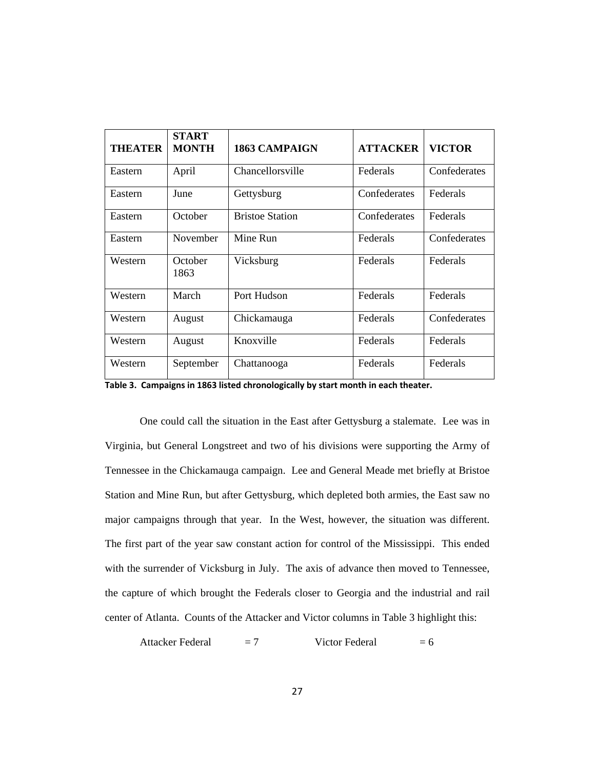| <b>THEATER</b> | <b>START</b><br><b>MONTH</b> | <b>1863 CAMPAIGN</b>   | <b>ATTACKER</b> | <b>VICTOR</b> |
|----------------|------------------------------|------------------------|-----------------|---------------|
| Eastern        | April                        | Chancellorsville       | Federals        | Confederates  |
| Eastern        | June                         | Gettysburg             | Confederates    | Federals      |
| Eastern        | October                      | <b>Bristoe Station</b> | Confederates    | Federals      |
| Eastern        | November                     | Mine Run               | Federals        | Confederates  |
| Western        | October<br>1863              | Vicksburg              | Federals        | Federals      |
| Western        | March                        | Port Hudson            | Federals        | Federals      |
| Western        | August                       | Chickamauga            | Federals        | Confederates  |
| Western        | August                       | Knoxville              | Federals        | Federals      |
| Western        | September                    | Chattanooga            | Federals        | Federals      |

**Table 3. Campaigns in 1863 listed chronologically by start month in each theater.**

One could call the situation in the East after Gettysburg a stalemate. Lee was in Virginia, but General Longstreet and two of his divisions were supporting the Army of Tennessee in the Chickamauga campaign. Lee and General Meade met briefly at Bristoe Station and Mine Run, but after Gettysburg, which depleted both armies, the East saw no major campaigns through that year. In the West, however, the situation was different. The first part of the year saw constant action for control of the Mississippi. This ended with the surrender of Vicksburg in July. The axis of advance then moved to Tennessee, the capture of which brought the Federals closer to Georgia and the industrial and rail center of Atlanta. Counts of the Attacker and Victor columns in Table 3 highlight this:

Attacker Federal  $= 7$  Victor Federal  $= 6$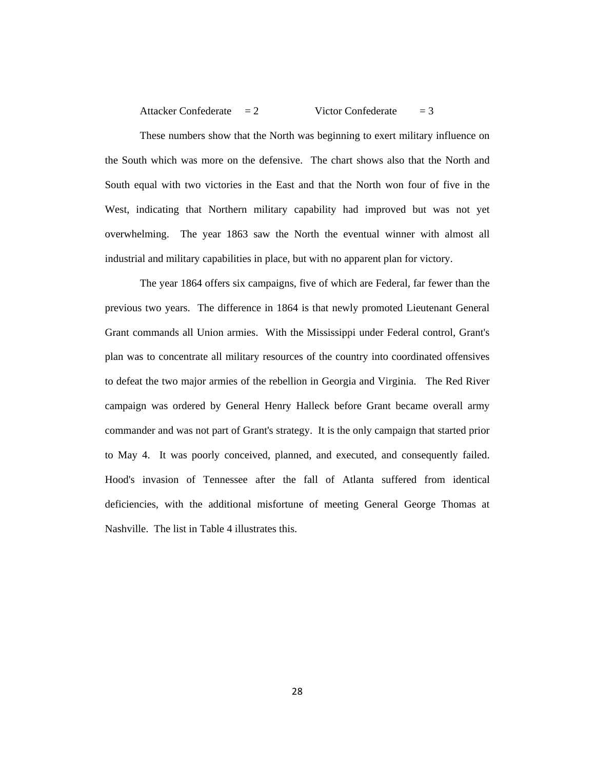```
Attacker Confederate = 2 Victor Confederate = 3
```
These numbers show that the North was beginning to exert military influence on the South which was more on the defensive. The chart shows also that the North and South equal with two victories in the East and that the North won four of five in the West, indicating that Northern military capability had improved but was not yet overwhelming. The year 1863 saw the North the eventual winner with almost all industrial and military capabilities in place, but with no apparent plan for victory.

The year 1864 offers six campaigns, five of which are Federal, far fewer than the previous two years. The difference in 1864 is that newly promoted Lieutenant General Grant commands all Union armies. With the Mississippi under Federal control, Grant's plan was to concentrate all military resources of the country into coordinated offensives to defeat the two major armies of the rebellion in Georgia and Virginia. The Red River campaign was ordered by General Henry Halleck before Grant became overall army commander and was not part of Grant's strategy. It is the only campaign that started prior to May 4. It was poorly conceived, planned, and executed, and consequently failed. Hood's invasion of Tennessee after the fall of Atlanta suffered from identical deficiencies, with the additional misfortune of meeting General George Thomas at Nashville. The list in Table 4 illustrates this.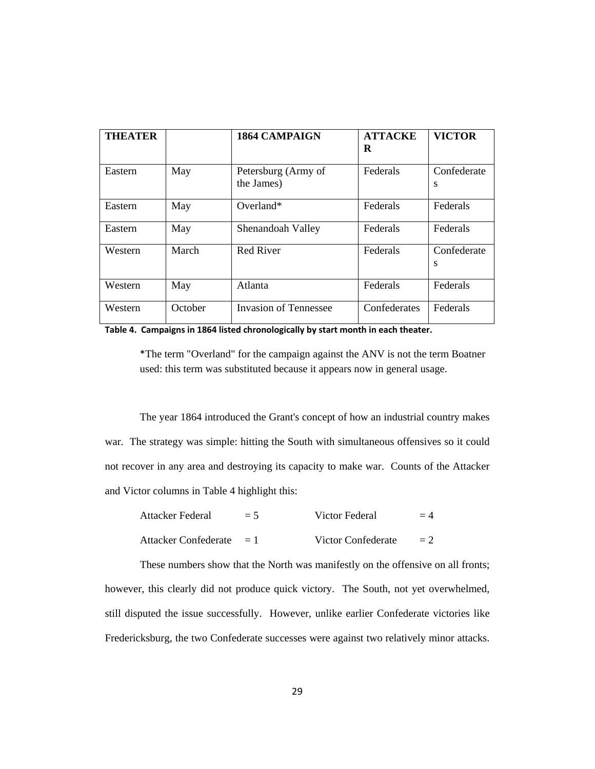| <b>THEATER</b> |         | <b>1864 CAMPAIGN</b>              | <b>ATTACKE</b><br>R | <b>VICTOR</b>    |
|----------------|---------|-----------------------------------|---------------------|------------------|
| Eastern        | May     | Petersburg (Army of<br>the James) | Federals            | Confederate<br>S |
| Eastern        | May     | $Overland*$                       | Federals            | Federals         |
| Eastern        | May     | Shenandoah Valley                 | Federals            | Federals         |
| Western        | March   | <b>Red River</b>                  | Federals            | Confederate<br>S |
| Western        | May     | Atlanta                           | Federals            | Federals         |
| Western        | October | <b>Invasion of Tennessee</b>      | Confederates        | Federals         |

|  |  | Table 4. Campaigns in 1864 listed chronologically by start month in each theater. |  |
|--|--|-----------------------------------------------------------------------------------|--|
|--|--|-----------------------------------------------------------------------------------|--|

\*The term "Overland" for the campaign against the ANV is not the term Boatner used: this term was substituted because it appears now in general usage.

The year 1864 introduced the Grant's concept of how an industrial country makes war. The strategy was simple: hitting the South with simultaneous offensives so it could not recover in any area and destroying its capacity to make war. Counts of the Attacker and Victor columns in Table 4 highlight this:

| Attacker Federal           | $= 5$ | Victor Federal     | $=4$ |
|----------------------------|-------|--------------------|------|
| Attacker Confederate $= 1$ |       | Victor Confederate | $=2$ |

These numbers show that the North was manifestly on the offensive on all fronts; however, this clearly did not produce quick victory. The South, not yet overwhelmed, still disputed the issue successfully. However, unlike earlier Confederate victories like Fredericksburg, the two Confederate successes were against two relatively minor attacks.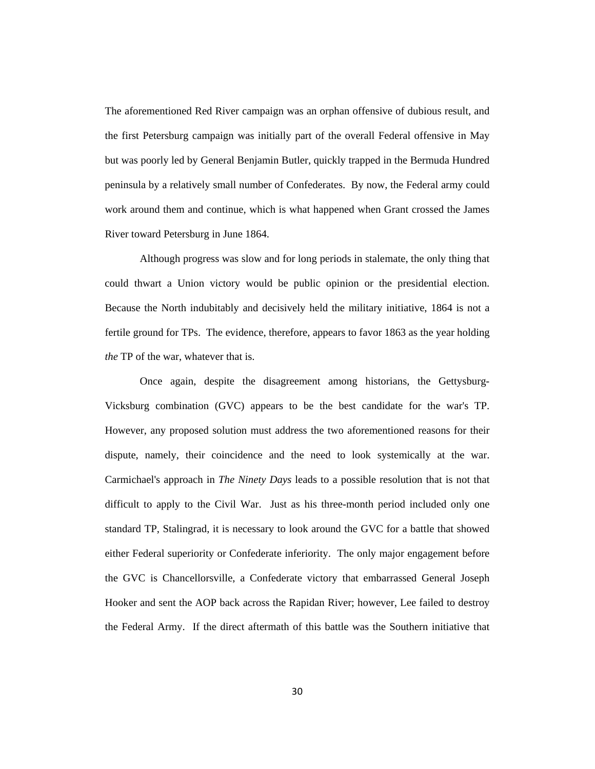The aforementioned Red River campaign was an orphan offensive of dubious result, and the first Petersburg campaign was initially part of the overall Federal offensive in May but was poorly led by General Benjamin Butler, quickly trapped in the Bermuda Hundred peninsula by a relatively small number of Confederates. By now, the Federal army could work around them and continue, which is what happened when Grant crossed the James River toward Petersburg in June 1864.

Although progress was slow and for long periods in stalemate, the only thing that could thwart a Union victory would be public opinion or the presidential election. Because the North indubitably and decisively held the military initiative, 1864 is not a fertile ground for TPs. The evidence, therefore, appears to favor 1863 as the year holding *the* TP of the war, whatever that is.

Once again, despite the disagreement among historians, the Gettysburg-Vicksburg combination (GVC) appears to be the best candidate for the war's TP. However, any proposed solution must address the two aforementioned reasons for their dispute, namely, their coincidence and the need to look systemically at the war. Carmichael's approach in *The Ninety Days* leads to a possible resolution that is not that difficult to apply to the Civil War. Just as his three-month period included only one standard TP, Stalingrad, it is necessary to look around the GVC for a battle that showed either Federal superiority or Confederate inferiority. The only major engagement before the GVC is Chancellorsville, a Confederate victory that embarrassed General Joseph Hooker and sent the AOP back across the Rapidan River; however, Lee failed to destroy the Federal Army. If the direct aftermath of this battle was the Southern initiative that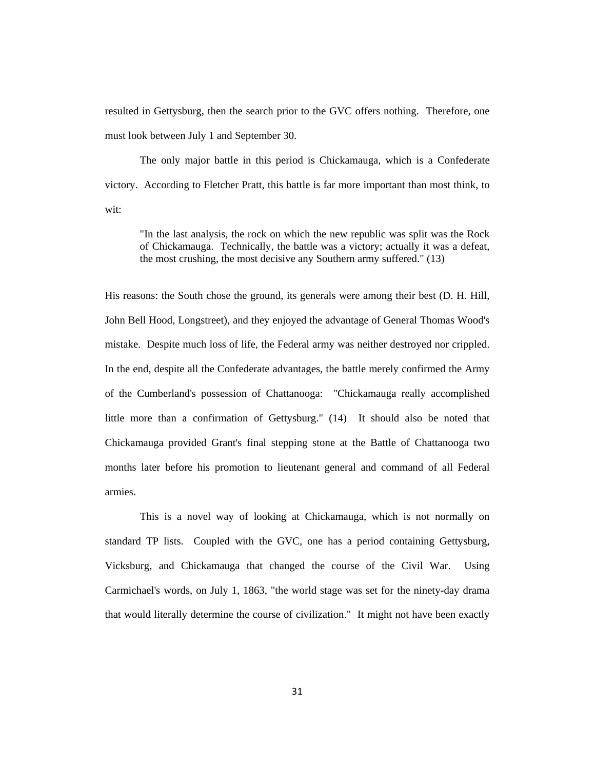resulted in Gettysburg, then the search prior to the GVC offers nothing. Therefore, one must look between July 1 and September 30.

The only major battle in this period is Chickamauga, which is a Confederate victory. According to Fletcher Pratt, this battle is far more important than most think, to wit:

"In the last analysis, the rock on which the new republic was split was the Rock of Chickamauga. Technically, the battle was a victory; actually it was a defeat, the most crushing, the most decisive any Southern army suffered." (13)

His reasons: the South chose the ground, its generals were among their best (D. H. Hill, John Bell Hood, Longstreet), and they enjoyed the advantage of General Thomas Wood's mistake. Despite much loss of life, the Federal army was neither destroyed nor crippled. In the end, despite all the Confederate advantages, the battle merely confirmed the Army of the Cumberland's possession of Chattanooga: "Chickamauga really accomplished little more than a confirmation of Gettysburg." (14) It should also be noted that Chickamauga provided Grant's final stepping stone at the Battle of Chattanooga two months later before his promotion to lieutenant general and command of all Federal armies.

This is a novel way of looking at Chickamauga, which is not normally on standard TP lists. Coupled with the GVC, one has a period containing Gettysburg, Vicksburg, and Chickamauga that changed the course of the Civil War. Using Carmichael's words, on July 1, 1863, "the world stage was set for the ninety-day drama that would literally determine the course of civilization." It might not have been exactly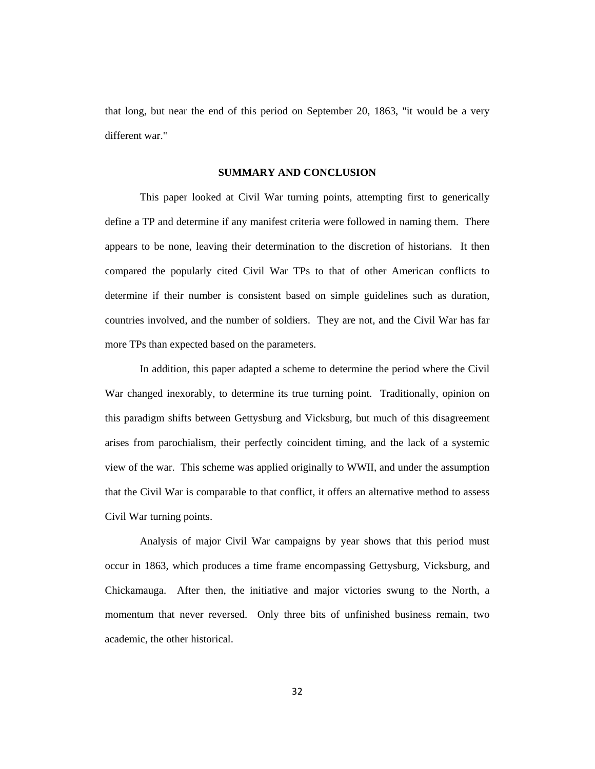that long, but near the end of this period on September 20, 1863, "it would be a very different war."

## **SUMMARY AND CONCLUSION**

This paper looked at Civil War turning points, attempting first to generically define a TP and determine if any manifest criteria were followed in naming them. There appears to be none, leaving their determination to the discretion of historians. It then compared the popularly cited Civil War TPs to that of other American conflicts to determine if their number is consistent based on simple guidelines such as duration, countries involved, and the number of soldiers. They are not, and the Civil War has far more TPs than expected based on the parameters.

In addition, this paper adapted a scheme to determine the period where the Civil War changed inexorably, to determine its true turning point. Traditionally, opinion on this paradigm shifts between Gettysburg and Vicksburg, but much of this disagreement arises from parochialism, their perfectly coincident timing, and the lack of a systemic view of the war. This scheme was applied originally to WWII, and under the assumption that the Civil War is comparable to that conflict, it offers an alternative method to assess Civil War turning points.

Analysis of major Civil War campaigns by year shows that this period must occur in 1863, which produces a time frame encompassing Gettysburg, Vicksburg, and Chickamauga. After then, the initiative and major victories swung to the North, a momentum that never reversed. Only three bits of unfinished business remain, two academic, the other historical.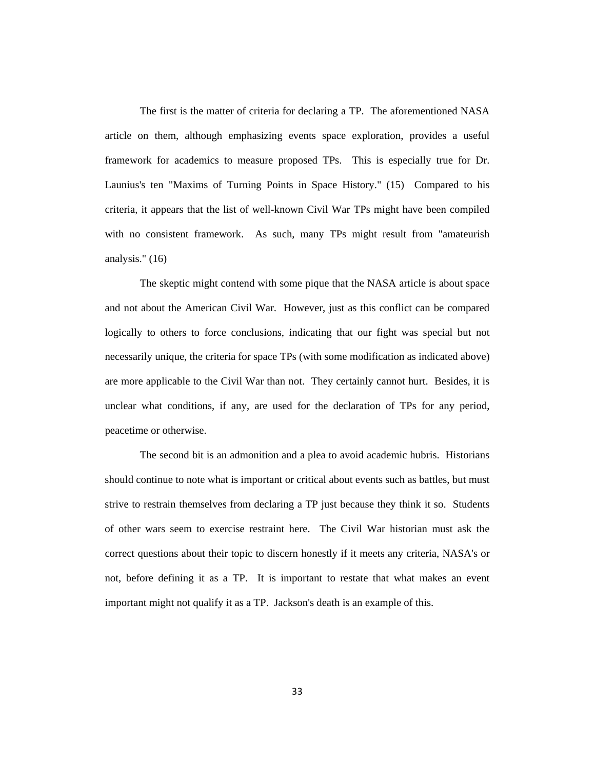The first is the matter of criteria for declaring a TP. The aforementioned NASA article on them, although emphasizing events space exploration, provides a useful framework for academics to measure proposed TPs. This is especially true for Dr. Launius's ten "Maxims of Turning Points in Space History." (15) Compared to his criteria, it appears that the list of well-known Civil War TPs might have been compiled with no consistent framework. As such, many TPs might result from "amateurish analysis." (16)

The skeptic might contend with some pique that the NASA article is about space and not about the American Civil War. However, just as this conflict can be compared logically to others to force conclusions, indicating that our fight was special but not necessarily unique, the criteria for space TPs (with some modification as indicated above) are more applicable to the Civil War than not. They certainly cannot hurt. Besides, it is unclear what conditions, if any, are used for the declaration of TPs for any period, peacetime or otherwise.

The second bit is an admonition and a plea to avoid academic hubris. Historians should continue to note what is important or critical about events such as battles, but must strive to restrain themselves from declaring a TP just because they think it so. Students of other wars seem to exercise restraint here. The Civil War historian must ask the correct questions about their topic to discern honestly if it meets any criteria, NASA's or not, before defining it as a TP. It is important to restate that what makes an event important might not qualify it as a TP. Jackson's death is an example of this.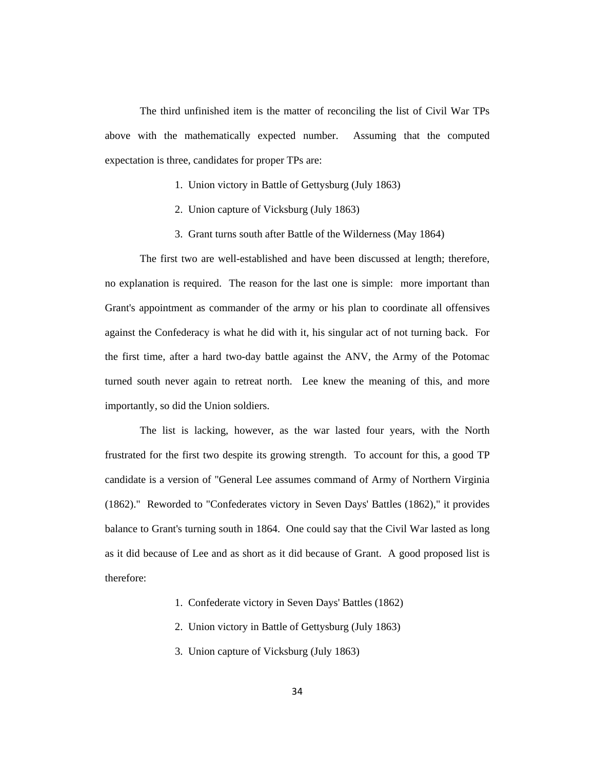The third unfinished item is the matter of reconciling the list of Civil War TPs above with the mathematically expected number. Assuming that the computed expectation is three, candidates for proper TPs are:

- 1. Union victory in Battle of Gettysburg (July 1863)
- 2. Union capture of Vicksburg (July 1863)
- 3. Grant turns south after Battle of the Wilderness (May 1864)

The first two are well-established and have been discussed at length; therefore, no explanation is required. The reason for the last one is simple: more important than Grant's appointment as commander of the army or his plan to coordinate all offensives against the Confederacy is what he did with it, his singular act of not turning back. For the first time, after a hard two-day battle against the ANV, the Army of the Potomac turned south never again to retreat north. Lee knew the meaning of this, and more importantly, so did the Union soldiers.

The list is lacking, however, as the war lasted four years, with the North frustrated for the first two despite its growing strength. To account for this, a good TP candidate is a version of "General Lee assumes command of Army of Northern Virginia (1862)." Reworded to "Confederates victory in Seven Days' Battles (1862)," it provides balance to Grant's turning south in 1864. One could say that the Civil War lasted as long as it did because of Lee and as short as it did because of Grant. A good proposed list is therefore:

- 1. Confederate victory in Seven Days' Battles (1862)
- 2. Union victory in Battle of Gettysburg (July 1863)
- 3. Union capture of Vicksburg (July 1863)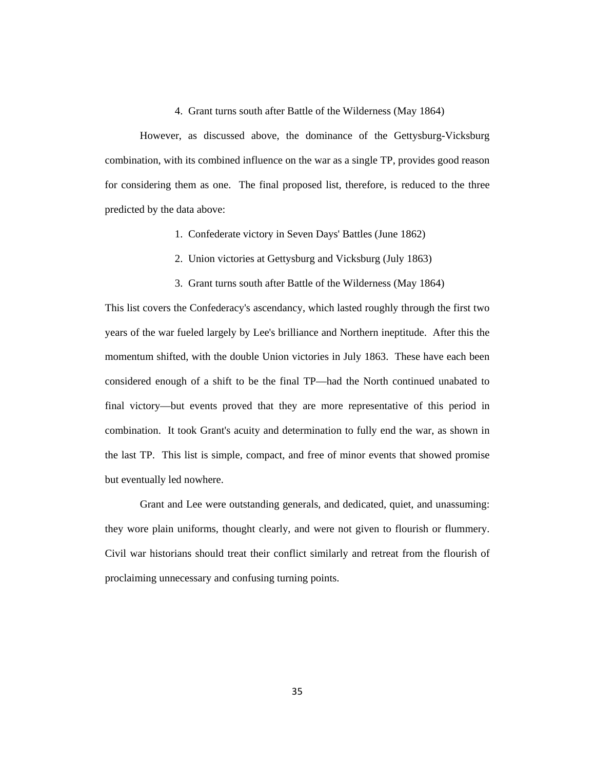# 4. Grant turns south after Battle of the Wilderness (May 1864)

However, as discussed above, the dominance of the Gettysburg-Vicksburg combination, with its combined influence on the war as a single TP, provides good reason for considering them as one. The final proposed list, therefore, is reduced to the three predicted by the data above:

- 1. Confederate victory in Seven Days' Battles (June 1862)
- 2. Union victories at Gettysburg and Vicksburg (July 1863)
- 3. Grant turns south after Battle of the Wilderness (May 1864)

This list covers the Confederacy's ascendancy, which lasted roughly through the first two years of the war fueled largely by Lee's brilliance and Northern ineptitude. After this the momentum shifted, with the double Union victories in July 1863. These have each been considered enough of a shift to be the final TP—had the North continued unabated to final victory—but events proved that they are more representative of this period in combination. It took Grant's acuity and determination to fully end the war, as shown in the last TP. This list is simple, compact, and free of minor events that showed promise but eventually led nowhere.

Grant and Lee were outstanding generals, and dedicated, quiet, and unassuming: they wore plain uniforms, thought clearly, and were not given to flourish or flummery. Civil war historians should treat their conflict similarly and retreat from the flourish of proclaiming unnecessary and confusing turning points.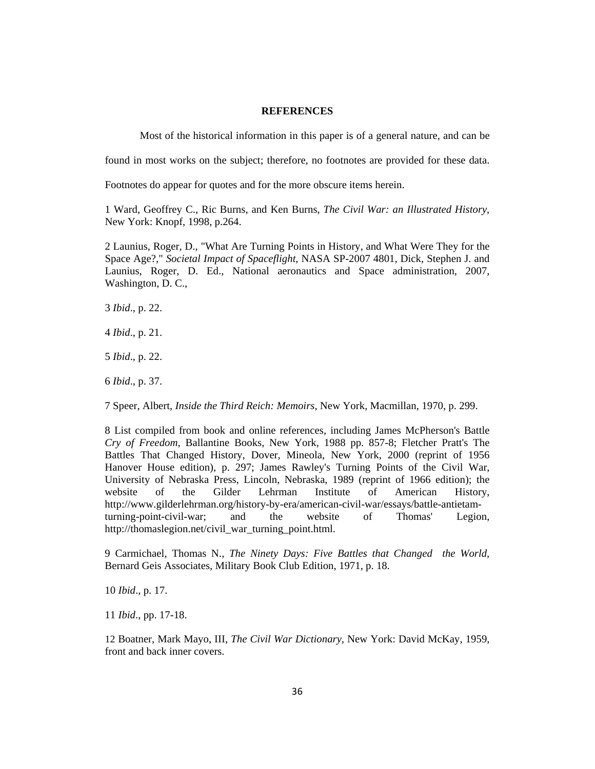### **REFERENCES**

Most of the historical information in this paper is of a general nature, and can be

found in most works on the subject; therefore, no footnotes are provided for these data.

Footnotes do appear for quotes and for the more obscure items herein.

1 Ward, Geoffrey C., Ric Burns, and Ken Burns, *The Civil War: an Illustrated History*, New York: Knopf, 1998, p.264.

2 Launius, Roger, D., "What Are Turning Points in History, and What Were They for the Space Age?," *Societal Impact of Spaceflight*, NASA SP-2007 4801, Dick, Stephen J. and Launius, Roger, D. Ed., National aeronautics and Space administration, 2007, Washington, D. C.,

3 *Ibid*., p. 22.

4 *Ibid*., p. 21.

5 *Ibid*., p. 22.

6 *Ibid*., p. 37.

7 Speer, Albert, *Inside the Third Reich: Memoirs*, New York, Macmillan, 1970, p. 299.

8 List compiled from book and online references, including James McPherson's Battle *Cry of Freedom*, Ballantine Books, New York, 1988 pp. 857-8; Fletcher Pratt's The Battles That Changed History, Dover, Mineola, New York, 2000 (reprint of 1956 Hanover House edition), p. 297; James Rawley's Turning Points of the Civil War, University of Nebraska Press, Lincoln, Nebraska, 1989 (reprint of 1966 edition); the website of the Gilder Lehrman Institute of American History, http://www.gilderlehrman.org/history-by-era/american-civil-war/essays/battle-antietamturning-point-civil-war; and the website of Thomas' Legion, http://thomaslegion.net/civil\_war\_turning\_point.html.

9 Carmichael, Thomas N., *The Ninety Days: Five Battles that Changed the World,*  Bernard Geis Associates, Military Book Club Edition, 1971, p. 18.

10 *Ibid*., p. 17.

11 *Ibid*., pp. 17-18.

12 Boatner, Mark Mayo, III, *The Civil War Dictionary*, New York: David McKay, 1959, front and back inner covers.